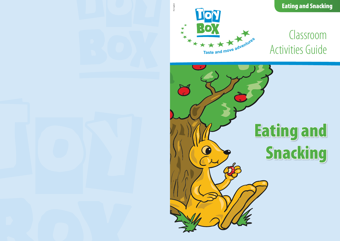## Classroom **Activities Guide**

Eating and Snacking

# Eating and **Snacking**